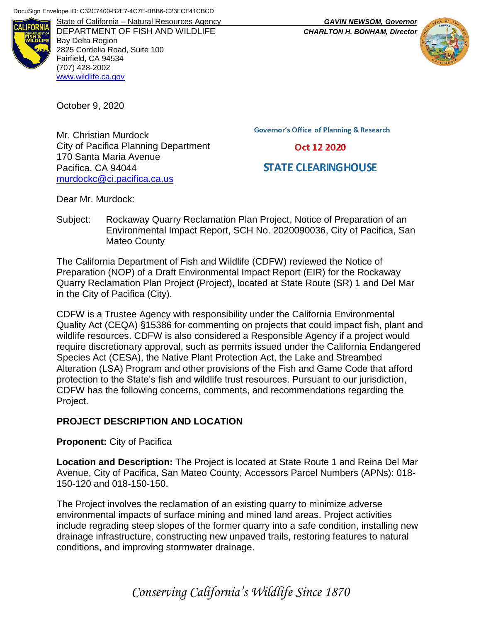

DEPARTMENT OF FISH AND WILDLIFE *CHARLTON H. BONHAM, Director* Bay Delta Region 2825 Cordelia Road, Suite 100 Fairfield, CA 94534 (707) 428-2002 [www.wildlife.ca.gov](http://www.wildlife.ca.gov/)

October 9, 2020

Mr. Christian Murdock City of Pacifica Planning Department 170 Santa Maria Avenue Pacifica, CA 94044 [murdockc@ci.pacifica.ca.us](mailto:murdockc@ci.pacifica.ca.us)

**Governor's Office of Planning & Research** 

Oct 12 2020

# **STATE CLEARING HOUSE**

Dear Mr. Murdock:

Subject: Rockaway Quarry Reclamation Plan Project, Notice of Preparation of an Environmental Impact Report, SCH No. 2020090036, City of Pacifica, San Mateo County

The California Department of Fish and Wildlife (CDFW) reviewed the Notice of Preparation (NOP) of a Draft Environmental Impact Report (EIR) for the Rockaway Quarry Reclamation Plan Project (Project), located at State Route (SR) 1 and Del Mar in the City of Pacifica (City).

CDFW is a Trustee Agency with responsibility under the California Environmental Quality Act (CEQA) §15386 for commenting on projects that could impact fish, plant and wildlife resources. CDFW is also considered a Responsible Agency if a project would require discretionary approval, such as permits issued under the California Endangered Species Act (CESA), the Native Plant Protection Act, the Lake and Streambed Alteration (LSA) Program and other provisions of the Fish and Game Code that afford protection to the State's fish and wildlife trust resources. Pursuant to our jurisdiction, CDFW has the following concerns, comments, and recommendations regarding the Project.

# **PROJECT DESCRIPTION AND LOCATION**

## **Proponent:** City of Pacifica

**Location and Description:** The Project is located at State Route 1 and Reina Del Mar Avenue, City of Pacifica, San Mateo County, Accessors Parcel Numbers (APNs): 018- 150-120 and 018-150-150.

The Project involves the reclamation of an existing quarry to minimize adverse environmental impacts of surface mining and mined land areas. Project activities include regrading steep slopes of the former quarry into a safe condition, installing new drainage infrastructure, constructing new unpaved trails, restoring features to natural conditions, and improving stormwater drainage.

*Conserving California's Wildlife Since 1870*

State of California – Natural Resources Agency *GAVIN NEWSOM, Governor*

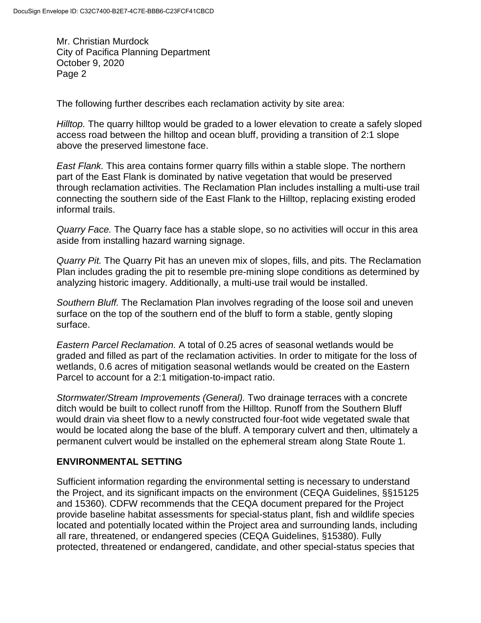The following further describes each reclamation activity by site area:

*Hilltop.* The quarry hilltop would be graded to a lower elevation to create a safely sloped access road between the hilltop and ocean bluff, providing a transition of 2:1 slope above the preserved limestone face.

*East Flank.* This area contains former quarry fills within a stable slope. The northern part of the East Flank is dominated by native vegetation that would be preserved through reclamation activities. The Reclamation Plan includes installing a multi-use trail connecting the southern side of the East Flank to the Hilltop, replacing existing eroded informal trails.

*Quarry Face.* The Quarry face has a stable slope, so no activities will occur in this area aside from installing hazard warning signage.

*Quarry Pit.* The Quarry Pit has an uneven mix of slopes, fills, and pits. The Reclamation Plan includes grading the pit to resemble pre-mining slope conditions as determined by analyzing historic imagery. Additionally, a multi-use trail would be installed.

*Southern Bluff.* The Reclamation Plan involves regrading of the loose soil and uneven surface on the top of the southern end of the bluff to form a stable, gently sloping surface.

*Eastern Parcel Reclamation.* A total of 0.25 acres of seasonal wetlands would be graded and filled as part of the reclamation activities. In order to mitigate for the loss of wetlands, 0.6 acres of mitigation seasonal wetlands would be created on the Eastern Parcel to account for a 2:1 mitigation-to-impact ratio.

*Stormwater/Stream Improvements (General).* Two drainage terraces with a concrete ditch would be built to collect runoff from the Hilltop. Runoff from the Southern Bluff would drain via sheet flow to a newly constructed four-foot wide vegetated swale that would be located along the base of the bluff. A temporary culvert and then, ultimately a permanent culvert would be installed on the ephemeral stream along State Route 1.

## **ENVIRONMENTAL SETTING**

Sufficient information regarding the environmental setting is necessary to understand the Project, and its significant impacts on the environment (CEQA Guidelines, §§15125 and 15360). CDFW recommends that the CEQA document prepared for the Project provide baseline habitat assessments for special-status plant, fish and wildlife species located and potentially located within the Project area and surrounding lands, including all rare, threatened, or endangered species (CEQA Guidelines, §15380). Fully protected, threatened or endangered, candidate, and other special-status species that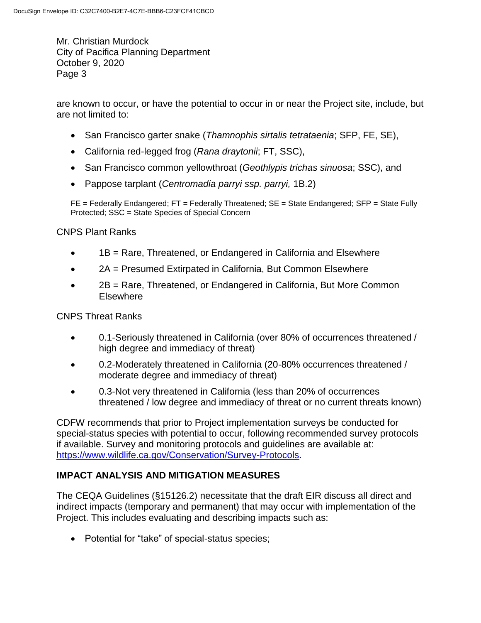are known to occur, or have the potential to occur in or near the Project site, include, but are not limited to:

- San Francisco garter snake (*Thamnophis sirtalis tetrataenia*; SFP, FE, SE),
- California red-legged frog (*Rana draytonii*; FT, SSC),
- San Francisco common yellowthroat (*Geothlypis trichas sinuosa*; SSC), and
- Pappose tarplant (*Centromadia parryi ssp. parryi,* 1B.2)

FE = Federally Endangered; FT = Federally Threatened; SE = State Endangered; SFP = State Fully Protected; SSC = State Species of Special Concern

CNPS Plant Ranks

- 1B = Rare, Threatened, or Endangered in California and Elsewhere
- 2A = Presumed Extirpated in California, But Common Elsewhere
- 2B = Rare, Threatened, or Endangered in California, But More Common **Elsewhere**

CNPS Threat Ranks

- 0.1-Seriously threatened in California (over 80% of occurrences threatened / high degree and immediacy of threat)
- 0.2-Moderately threatened in California (20-80% occurrences threatened / moderate degree and immediacy of threat)
- 0.3-Not very threatened in California (less than 20% of occurrences threatened / low degree and immediacy of threat or no current threats known)

CDFW recommends that prior to Project implementation surveys be conducted for special-status species with potential to occur, following recommended survey protocols if available. Survey and monitoring protocols and guidelines are available at: [https://www.wildlife.ca.gov/Conservation/Survey-Protocols.](https://www.wildlife.ca.gov/Conservation/Survey-Protocols)

# **IMPACT ANALYSIS AND MITIGATION MEASURES**

The CEQA Guidelines (§15126.2) necessitate that the draft EIR discuss all direct and indirect impacts (temporary and permanent) that may occur with implementation of the Project. This includes evaluating and describing impacts such as:

• Potential for "take" of special-status species;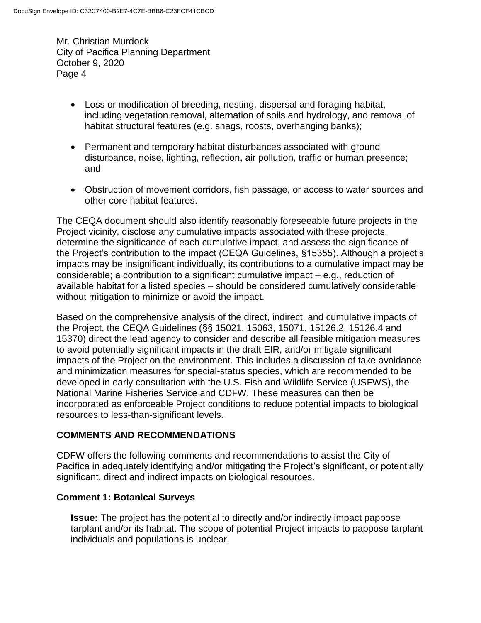- Loss or modification of breeding, nesting, dispersal and foraging habitat, including vegetation removal, alternation of soils and hydrology, and removal of habitat structural features (e.g. snags, roosts, overhanging banks);
- Permanent and temporary habitat disturbances associated with ground disturbance, noise, lighting, reflection, air pollution, traffic or human presence; and
- Obstruction of movement corridors, fish passage, or access to water sources and other core habitat features.

The CEQA document should also identify reasonably foreseeable future projects in the Project vicinity, disclose any cumulative impacts associated with these projects, determine the significance of each cumulative impact, and assess the significance of the Project's contribution to the impact (CEQA Guidelines, §15355). Although a project's impacts may be insignificant individually, its contributions to a cumulative impact may be considerable; a contribution to a significant cumulative impact – e.g., reduction of available habitat for a listed species – should be considered cumulatively considerable without mitigation to minimize or avoid the impact.

Based on the comprehensive analysis of the direct, indirect, and cumulative impacts of the Project, the CEQA Guidelines (§§ 15021, 15063, 15071, 15126.2, 15126.4 and 15370) direct the lead agency to consider and describe all feasible mitigation measures to avoid potentially significant impacts in the draft EIR, and/or mitigate significant impacts of the Project on the environment. This includes a discussion of take avoidance and minimization measures for special-status species, which are recommended to be developed in early consultation with the U.S. Fish and Wildlife Service (USFWS), the National Marine Fisheries Service and CDFW. These measures can then be incorporated as enforceable Project conditions to reduce potential impacts to biological resources to less-than-significant levels.

# **COMMENTS AND RECOMMENDATIONS**

CDFW offers the following comments and recommendations to assist the City of Pacifica in adequately identifying and/or mitigating the Project's significant, or potentially significant, direct and indirect impacts on biological resources.

# **Comment 1: Botanical Surveys**

**Issue:** The project has the potential to directly and/or indirectly impact pappose tarplant and/or its habitat. The scope of potential Project impacts to pappose tarplant individuals and populations is unclear.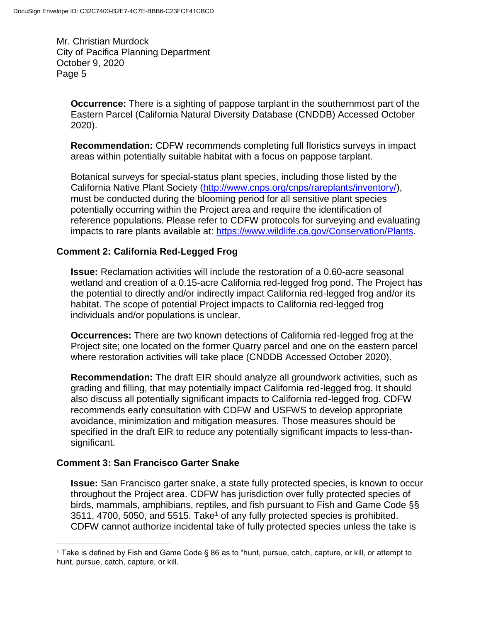**Occurrence:** There is a sighting of pappose tarplant in the southernmost part of the Eastern Parcel (California Natural Diversity Database (CNDDB) Accessed October 2020).

**Recommendation:** CDFW recommends completing full floristics surveys in impact areas within potentially suitable habitat with a focus on pappose tarplant.

Botanical surveys for special-status plant species, including those listed by the California Native Plant Society [\(http://www.cnps.org/cnps/rareplants/inventory/\)](http://www.cnps.org/cnps/rareplants/inventory/), must be conducted during the blooming period for all sensitive plant species potentially occurring within the Project area and require the identification of reference populations. Please refer to CDFW protocols for surveying and evaluating impacts to rare plants available at: [https://www.wildlife.ca.gov/Conservation/Plants.](https://www.wildlife.ca.gov/Conservation/Plants)

## **Comment 2: California Red-Legged Frog**

**Issue:** Reclamation activities will include the restoration of a 0.60-acre seasonal wetland and creation of a 0.15-acre California red-legged frog pond. The Project has the potential to directly and/or indirectly impact California red-legged frog and/or its habitat. The scope of potential Project impacts to California red-legged frog individuals and/or populations is unclear.

**Occurrences:** There are two known detections of California red-legged frog at the Project site; one located on the former Quarry parcel and one on the eastern parcel where restoration activities will take place (CNDDB Accessed October 2020).

**Recommendation:** The draft EIR should analyze all groundwork activities, such as grading and filling, that may potentially impact California red-legged frog. It should also discuss all potentially significant impacts to California red-legged frog. CDFW recommends early consultation with CDFW and USFWS to develop appropriate avoidance, minimization and mitigation measures. Those measures should be specified in the draft EIR to reduce any potentially significant impacts to less-thansignificant.

## **Comment 3: San Francisco Garter Snake**

 $\overline{a}$ 

**Issue:** San Francisco garter snake, a state fully protected species, is known to occur throughout the Project area. CDFW has jurisdiction over fully protected species of birds, mammals, amphibians, reptiles, and fish pursuant to Fish and Game Code §§  $3511, 4700, 5050,$  and  $5515.$  Take<sup>1</sup> of any fully protected species is prohibited. CDFW cannot authorize incidental take of fully protected species unless the take is

<sup>1</sup> Take is defined by Fish and Game Code § 86 as to "hunt, pursue, catch, capture, or kill, or attempt to hunt, pursue, catch, capture, or kill.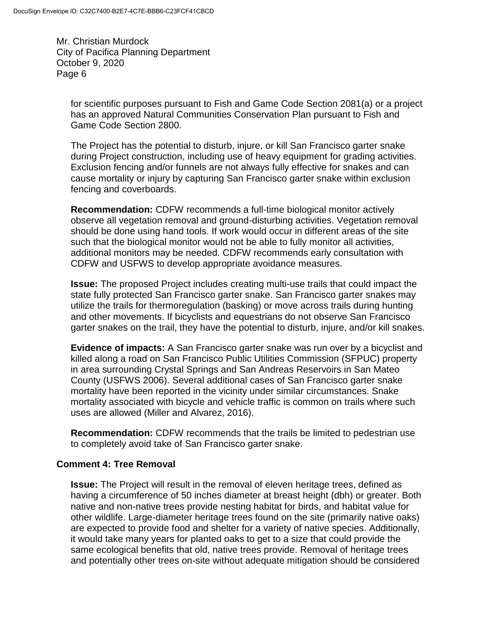for scientific purposes pursuant to Fish and Game Code Section 2081(a) or a project has an approved Natural Communities Conservation Plan pursuant to Fish and Game Code Section 2800.

The Project has the potential to disturb, injure, or kill San Francisco garter snake during Project construction, including use of heavy equipment for grading activities. Exclusion fencing and/or funnels are not always fully effective for snakes and can cause mortality or injury by capturing San Francisco garter snake within exclusion fencing and coverboards.

**Recommendation:** CDFW recommends a full-time biological monitor actively observe all vegetation removal and ground-disturbing activities. Vegetation removal should be done using hand tools. If work would occur in different areas of the site such that the biological monitor would not be able to fully monitor all activities, additional monitors may be needed. CDFW recommends early consultation with CDFW and USFWS to develop appropriate avoidance measures.

**Issue:** The proposed Project includes creating multi-use trails that could impact the state fully protected San Francisco garter snake. San Francisco garter snakes may utilize the trails for thermoregulation (basking) or move across trails during hunting and other movements. If bicyclists and equestrians do not observe San Francisco garter snakes on the trail, they have the potential to disturb, injure, and/or kill snakes.

**Evidence of impacts:** A San Francisco garter snake was run over by a bicyclist and killed along a road on San Francisco Public Utilities Commission (SFPUC) property in area surrounding Crystal Springs and San Andreas Reservoirs in San Mateo County (USFWS 2006). Several additional cases of San Francisco garter snake mortality have been reported in the vicinity under similar circumstances. Snake mortality associated with bicycle and vehicle traffic is common on trails where such uses are allowed (Miller and Alvarez, 2016).

**Recommendation:** CDFW recommends that the trails be limited to pedestrian use to completely avoid take of San Francisco garter snake.

## **Comment 4: Tree Removal**

**Issue:** The Project will result in the removal of eleven heritage trees, defined as having a circumference of 50 inches diameter at breast height (dbh) or greater. Both native and non-native trees provide nesting habitat for birds, and habitat value for other wildlife. Large-diameter heritage trees found on the site (primarily native oaks) are expected to provide food and shelter for a variety of native species. Additionally, it would take many years for planted oaks to get to a size that could provide the same ecological benefits that old, native trees provide. Removal of heritage trees and potentially other trees on-site without adequate mitigation should be considered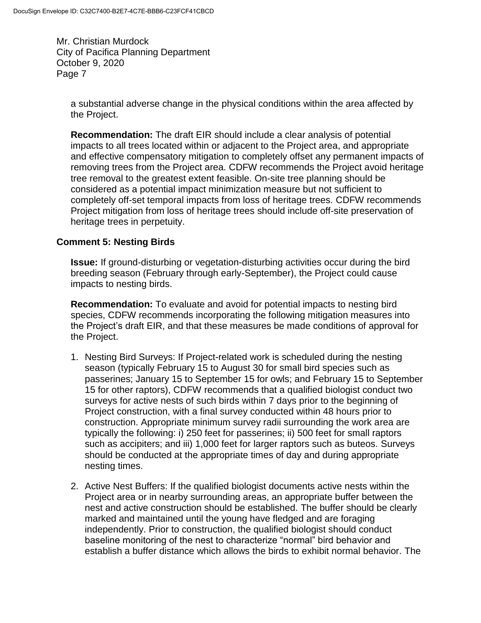a substantial adverse change in the physical conditions within the area affected by the Project.

**Recommendation:** The draft EIR should include a clear analysis of potential impacts to all trees located within or adjacent to the Project area, and appropriate and effective compensatory mitigation to completely offset any permanent impacts of removing trees from the Project area. CDFW recommends the Project avoid heritage tree removal to the greatest extent feasible. On-site tree planning should be considered as a potential impact minimization measure but not sufficient to completely off-set temporal impacts from loss of heritage trees. CDFW recommends Project mitigation from loss of heritage trees should include off-site preservation of heritage trees in perpetuity.

## **Comment 5: Nesting Birds**

**Issue:** If ground-disturbing or vegetation-disturbing activities occur during the bird breeding season (February through early-September), the Project could cause impacts to nesting birds.

**Recommendation:** To evaluate and avoid for potential impacts to nesting bird species, CDFW recommends incorporating the following mitigation measures into the Project's draft EIR, and that these measures be made conditions of approval for the Project.

- 1. Nesting Bird Surveys: If Project-related work is scheduled during the nesting season (typically February 15 to August 30 for small bird species such as passerines; January 15 to September 15 for owls; and February 15 to September 15 for other raptors), CDFW recommends that a qualified biologist conduct two surveys for active nests of such birds within 7 days prior to the beginning of Project construction, with a final survey conducted within 48 hours prior to construction. Appropriate minimum survey radii surrounding the work area are typically the following: i) 250 feet for passerines; ii) 500 feet for small raptors such as accipiters; and iii) 1,000 feet for larger raptors such as buteos. Surveys should be conducted at the appropriate times of day and during appropriate nesting times.
- 2. Active Nest Buffers: If the qualified biologist documents active nests within the Project area or in nearby surrounding areas, an appropriate buffer between the nest and active construction should be established. The buffer should be clearly marked and maintained until the young have fledged and are foraging independently. Prior to construction, the qualified biologist should conduct baseline monitoring of the nest to characterize "normal" bird behavior and establish a buffer distance which allows the birds to exhibit normal behavior. The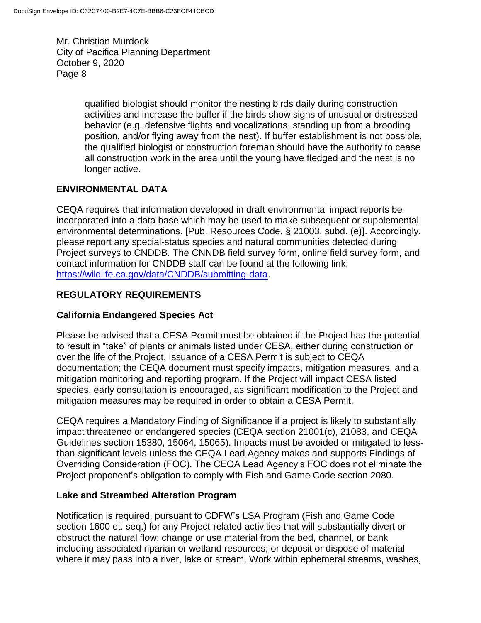> qualified biologist should monitor the nesting birds daily during construction activities and increase the buffer if the birds show signs of unusual or distressed behavior (e.g. defensive flights and vocalizations, standing up from a brooding position, and/or flying away from the nest). If buffer establishment is not possible, the qualified biologist or construction foreman should have the authority to cease all construction work in the area until the young have fledged and the nest is no longer active.

# **ENVIRONMENTAL DATA**

CEQA requires that information developed in draft environmental impact reports be incorporated into a data base which may be used to make subsequent or supplemental environmental determinations. [Pub. Resources Code, § 21003, subd. (e)]. Accordingly, please report any special-status species and natural communities detected during Project surveys to CNDDB. The CNNDB field survey form, online field survey form, and contact information for CNDDB staff can be found at the following link: [https://wildlife.ca.gov/data/CNDDB/submitting-data.](https://wildlife.ca.gov/data/CNDDB/submitting-data)

# **REGULATORY REQUIREMENTS**

# **California Endangered Species Act**

Please be advised that a CESA Permit must be obtained if the Project has the potential to result in "take" of plants or animals listed under CESA, either during construction or over the life of the Project. Issuance of a CESA Permit is subject to CEQA documentation; the CEQA document must specify impacts, mitigation measures, and a mitigation monitoring and reporting program. If the Project will impact CESA listed species, early consultation is encouraged, as significant modification to the Project and mitigation measures may be required in order to obtain a CESA Permit.

CEQA requires a Mandatory Finding of Significance if a project is likely to substantially impact threatened or endangered species (CEQA section 21001(c), 21083, and CEQA Guidelines section 15380, 15064, 15065). Impacts must be avoided or mitigated to lessthan-significant levels unless the CEQA Lead Agency makes and supports Findings of Overriding Consideration (FOC). The CEQA Lead Agency's FOC does not eliminate the Project proponent's obligation to comply with Fish and Game Code section 2080.

## **Lake and Streambed Alteration Program**

Notification is required, pursuant to CDFW's LSA Program (Fish and Game Code section 1600 et. seq.) for any Project-related activities that will substantially divert or obstruct the natural flow; change or use material from the bed, channel, or bank including associated riparian or wetland resources; or deposit or dispose of material where it may pass into a river, lake or stream. Work within ephemeral streams, washes,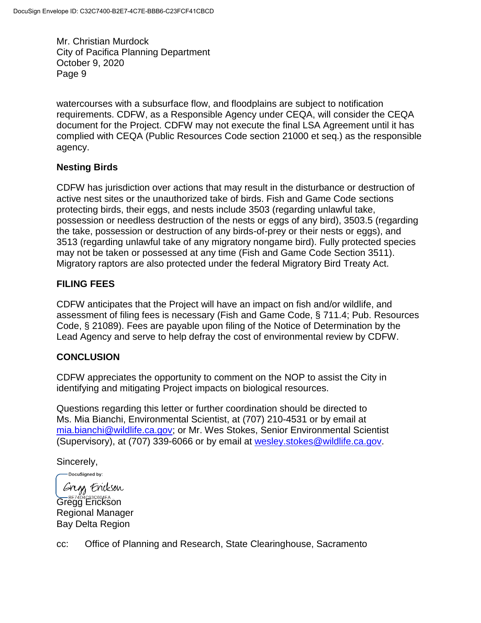watercourses with a subsurface flow, and floodplains are subject to notification requirements. CDFW, as a Responsible Agency under CEQA, will consider the CEQA document for the Project. CDFW may not execute the final LSA Agreement until it has complied with CEQA (Public Resources Code section 21000 et seq.) as the responsible agency.

## **Nesting Birds**

CDFW has jurisdiction over actions that may result in the disturbance or destruction of active nest sites or the unauthorized take of birds. Fish and Game Code sections protecting birds, their eggs, and nests include 3503 (regarding unlawful take, possession or needless destruction of the nests or eggs of any bird), 3503.5 (regarding the take, possession or destruction of any birds-of-prey or their nests or eggs), and 3513 (regarding unlawful take of any migratory nongame bird). Fully protected species may not be taken or possessed at any time (Fish and Game Code Section 3511). Migratory raptors are also protected under the federal Migratory Bird Treaty Act.

# **FILING FEES**

CDFW anticipates that the Project will have an impact on fish and/or wildlife, and assessment of filing fees is necessary (Fish and Game Code, § 711.4; Pub. Resources Code, § 21089). Fees are payable upon filing of the Notice of Determination by the Lead Agency and serve to help defray the cost of environmental review by CDFW.

# **CONCLUSION**

CDFW appreciates the opportunity to comment on the NOP to assist the City in identifying and mitigating Project impacts on biological resources.

Questions regarding this letter or further coordination should be directed to Ms. Mia Bianchi, Environmental Scientist, at (707) 210-4531 or by email at [mia.bianchi@wildlife.ca.gov;](mailto:mia.bianchi@wildlife.ca.gov) or Mr. Wes Stokes, Senior Environmental Scientist (Supervisory), at (707) 339-6066 or by email at [wesley.stokes@wildlife.ca.gov.](mailto:wesley.stokes@wildlife.ca.gov)

Sincerely,

-DocuSigned by:

Grigo Erickson

Gregg Erickson Regional Manager Bay Delta Region

cc: Office of Planning and Research, State Clearinghouse, Sacramento